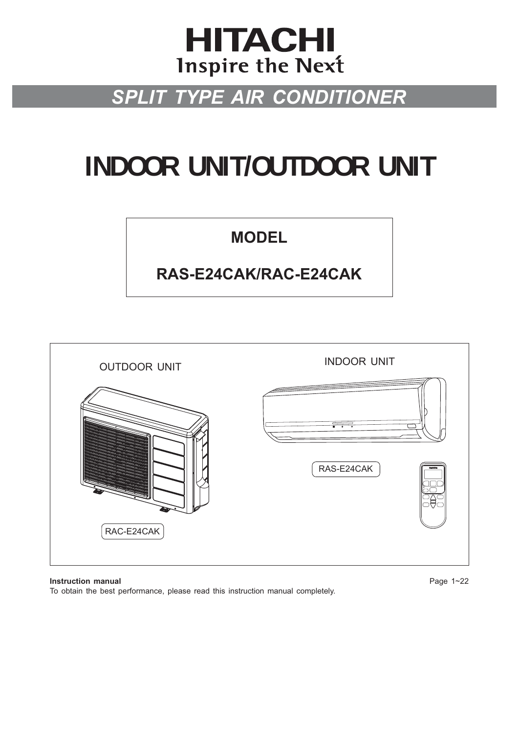## **HITACHI Inspire the Next**

## *SPLIT TYPE AIR CONDITIONER*

# **INDOOR UNIT/OUTDOOR UNIT**

## **MODEL**

## **RAS-E24CAK/RAC-E24CAK**



**Instruction manual** Page 1~22 To obtain the best performance, please read this instruction manual completely.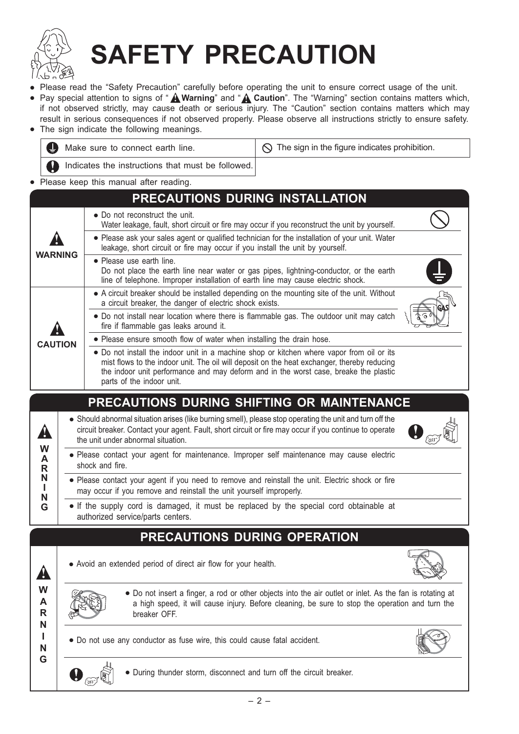

# **SAFETY PRECAUTION**

- Please read the "Safety Precaution" carefully before operating the unit to ensure correct usage of the unit.
- Pay special attention to signs of " **A Warning**" and " **A Caution**". The "Warning" section contains matters which, if not observed strictly, may cause death or serious injury. The "Caution" section contains matters which may result in serious consequences if not observed properly. Please observe all instructions strictly to ensure safety.
- The sign indicate the following meanings.



- Do not install near location where there is flammable gas. The outdoor unit may catch fire if flammable gas leaks around it.
	- Please ensure smooth flow of water when installing the drain hose.
		- Do not install the indoor unit in a machine shop or kitchen where vapor from oil or its mist flows to the indoor unit. The oil will deposit on the heat exchanger, thereby reducing the indoor unit performance and may deform and in the worst case, breake the plastic parts of the indoor unit.

## **PRECAUTIONS DURING SHIFTING OR MAINTENANCE**

● Should abnormal situation arises (like burning smell), please stop operating the unit and turn off the circuit breaker. Contact your agent. Fault, short circuit or fire may occur if you continue to operate the unit under abnormal situation.



- Please contact your agent for maintenance. Improper self maintenance may cause electric shock and fire.
- Please contact your agent if you need to remove and reinstall the unit. Electric shock or fire may occur if you remove and reinstall the unit yourself improperly.
- If the supply cord is damaged, it must be replaced by the special cord obtainable at authorized service/parts centers.

## **PRECAUTIONS DURING OPERATION**

• Avoid an extended period of direct air flow for your health.



**W A R N I N !**

**W A R N I N G**

**!**

**CAUTION !**

**G**

• Do not insert a finger, a rod or other objects into the air outlet or inlet. As the fan is rotating at a high speed, it will cause injury. Before cleaning, be sure to stop the operation and turn the breaker OFF.

● Do not use any conductor as fuse wire, this could cause fatal accident.





● During thunder storm, disconnect and turn off the circuit breaker.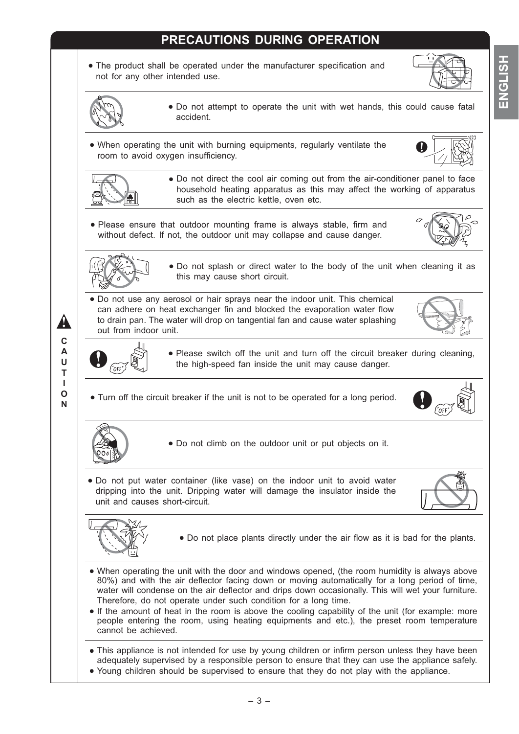## **PRECAUTIONS DURING OPERATION**

• The product shall be operated under the manufacturer specification and not for any other intended use.



- Do not attempt to operate the unit with wet hands, this could cause fatal accident.
- When operating the unit with burning equipments, regularly ventilate the room to avoid oxygen insufficiency.





● Do not direct the cool air coming out from the air-conditioner panel to face household heating apparatus as this may affect the working of apparatus such as the electric kettle, oven etc.

• Please ensure that outdoor mounting frame is always stable, firm and without defect. If not, the outdoor unit may collapse and cause danger.





● Do not splash or direct water to the body of the unit when cleaning it as this may cause short circuit.

● Do not use any aerosol or hair sprays near the indoor unit. This chemical can adhere on heat exchanger fin and blocked the evaporation water flow to drain pan. The water will drop on tangential fan and cause water splashing out from indoor unit.





**N**

**!**

● Please switch off the unit and turn off the circuit breaker during cleaning, the high-speed fan inside the unit may cause danger.

● Turn off the circuit breaker if the unit is not to be operated for a long period.





● Do not climb on the outdoor unit or put objects on it.

● Do not put water container (like vase) on the indoor unit to avoid water dripping into the unit. Dripping water will damage the insulator inside the unit and causes short-circuit.





- Do not place plants directly under the air flow as it is bad for the plants.
- When operating the unit with the door and windows opened, (the room humidity is always above 80%) and with the air deflector facing down or moving automatically for a long period of time, water will condense on the air deflector and drips down occasionally. This will wet your furniture. Therefore, do not operate under such condition for a long time.
- If the amount of heat in the room is above the cooling capability of the unit (for example: more people entering the room, using heating equipments and etc.), the preset room temperature cannot be achieved.
- This appliance is not intended for use by young children or infirm person unless they have been adequately supervised by a responsible person to ensure that they can use the appliance safely.
- Young children should be supervised to ensure that they do not play with the appliance.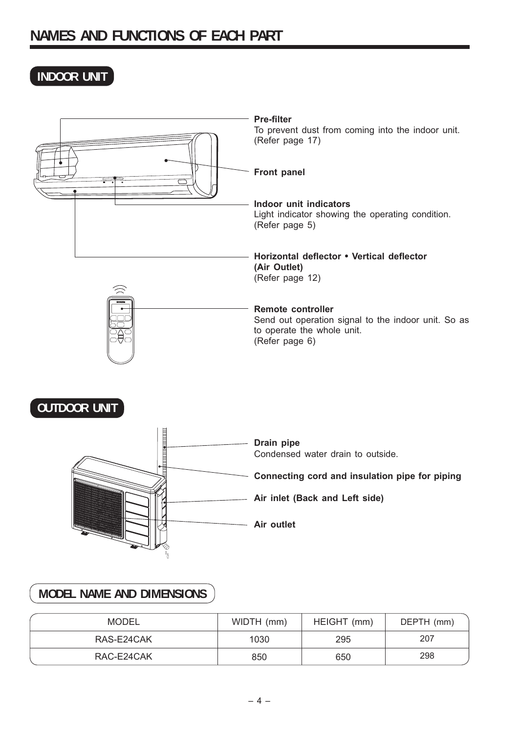## **INDOOR UNIT**

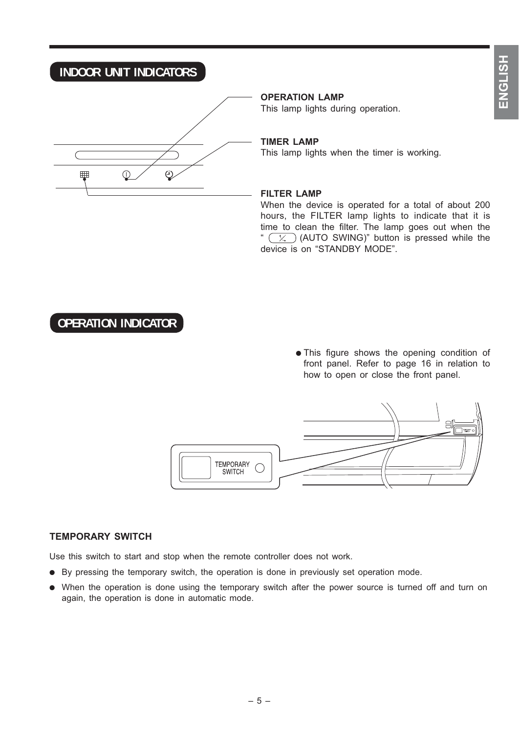## **INDOOR UNIT INDICATORS**



**OPERATION LAMP**

This lamp lights during operation.

#### **TIMER LAMP**

This lamp lights when the timer is working.

#### **FILTER LAMP**

When the device is operated for a total of about 200 hours, the FILTER lamp lights to indicate that it is time to clean the filter. The lamp goes out when the "  $(\overline{\times})$  (AUTO SWING)" button is pressed while the device is on "STANDBY MODE".

## **OPERATION INDICATOR**

• This figure shows the opening condition of front panel. Refer to page 16 in relation to how to open or close the front panel.



#### **TEMPORARY SWITCH**

Use this switch to start and stop when the remote controller does not work.

- By pressing the temporary switch, the operation is done in previously set operation mode.
- When the operation is done using the temporary switch after the power source is turned off and turn on again, the operation is done in automatic mode.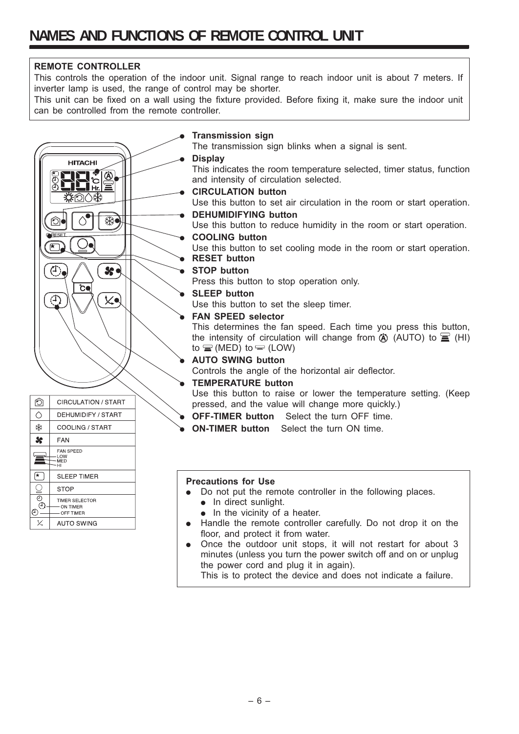#### **REMOTE CONTROLLER**

C

**A** 

攵

ල`

**STOP** TIMER SELECTOR

ON TIMER

 $-$  OFF TIMER AUTO SWING

This controls the operation of the indoor unit. Signal range to reach indoor unit is about 7 meters. If inverter lamp is used, the range of control may be shorter.

This unit can be fixed on a wall using the fixture provided. Before fixing it, make sure the indoor unit can be controlled from the remote controller.



#### **Precautions for Use**

- Do not put the remote controller in the following places.
	- In direct sunlight.
	- In the vicinity of a heater.
- Handle the remote controller carefully. Do not drop it on the floor, and protect it from water.
- Once the outdoor unit stops, it will not restart for about 3 minutes (unless you turn the power switch off and on or unplug the power cord and plug it in again).

This is to protect the device and does not indicate a failure.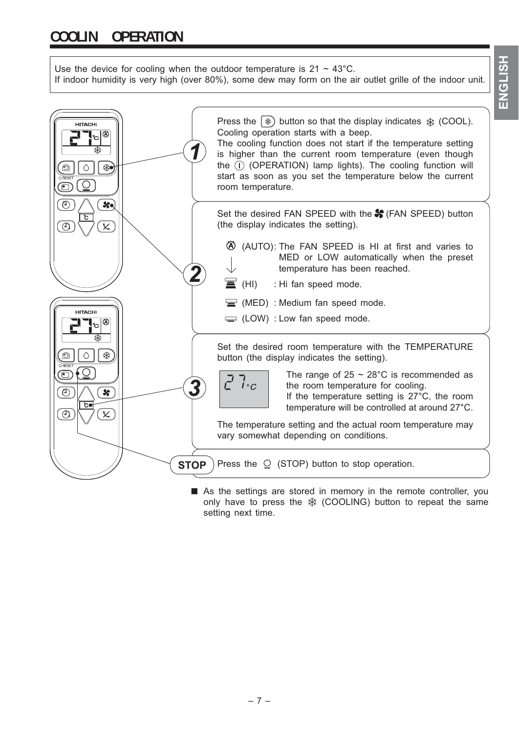Use the device for cooling when the outdoor temperature is  $21 \sim 43^{\circ}$ C. If indoor humidity is very high (over 80%), some dew may form on the air outlet grille of the indoor unit.



■ As the settings are stored in memory in the remote controller, you only have to press the  $*$  (COOLING) button to repeat the same setting next time.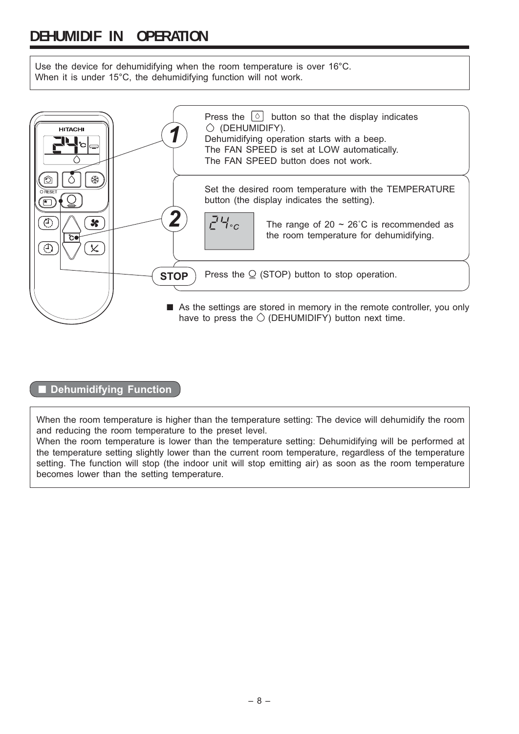## **DEHUMIDIF IN OPERATION**

Use the device for dehumidifying when the room temperature is over 16°C. When it is under 15°C, the dehumidifying function will not work.



#### ■ **Dehumidifying Function**

When the room temperature is higher than the temperature setting: The device will dehumidify the room and reducing the room temperature to the preset level.

When the room temperature is lower than the temperature setting: Dehumidifying will be performed at the temperature setting slightly lower than the current room temperature, regardless of the temperature setting. The function will stop (the indoor unit will stop emitting air) as soon as the room temperature becomes lower than the setting temperature.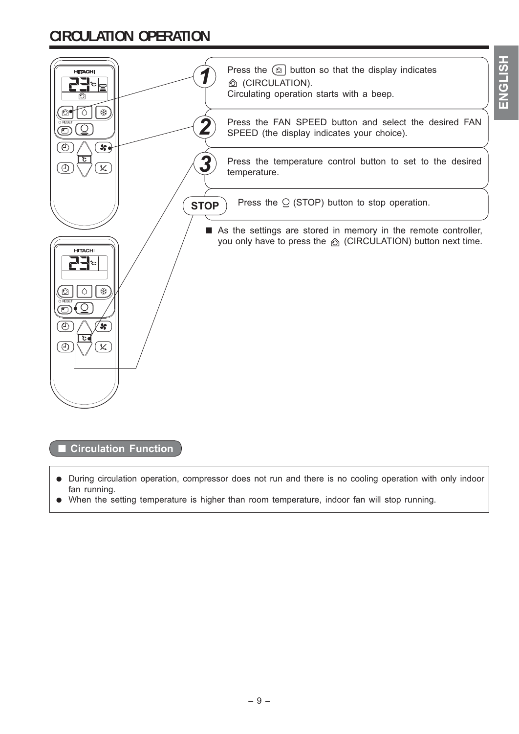## **CIRCULATION OPERATION**

| <b>HITACHI</b><br>$\mathbb{F}^{ \mathcal{O} }$<br>柴          | Press the $\textcircled{\tiny{\textcircled{\tiny{2}}}}$ button so that the display indicates<br>© (CIRCULATION).<br>Circulating operation starts with a beep.<br>Press the FAN SPEED button and select the desired FAN |
|--------------------------------------------------------------|------------------------------------------------------------------------------------------------------------------------------------------------------------------------------------------------------------------------|
| 8 <sub>9</sub><br>O                                          | SPEED (the display indicates your choice).                                                                                                                                                                             |
| c<br>t<br>$\overline{\mathsf{x}}$                            | Press the temperature control button to set to the desired<br>temperature.                                                                                                                                             |
| <b>STOP</b>                                                  | Press the $Q$ (STOP) button to stop operation.                                                                                                                                                                         |
| <b>HITACHI</b><br>柴<br>葱<br>$\sqrt{2}$<br>಄<br>℗<br>$\times$ | As the settings are stored in memory in the remote controller,<br>you only have to press the <b>b</b> (CIRCULATION) button next time.                                                                                  |

**ENGLISH**

ENGLISH

■ **Circulation Function** 

- During circulation operation, compressor does not run and there is no cooling operation with only indoor fan running.
- When the setting temperature is higher than room temperature, indoor fan will stop running.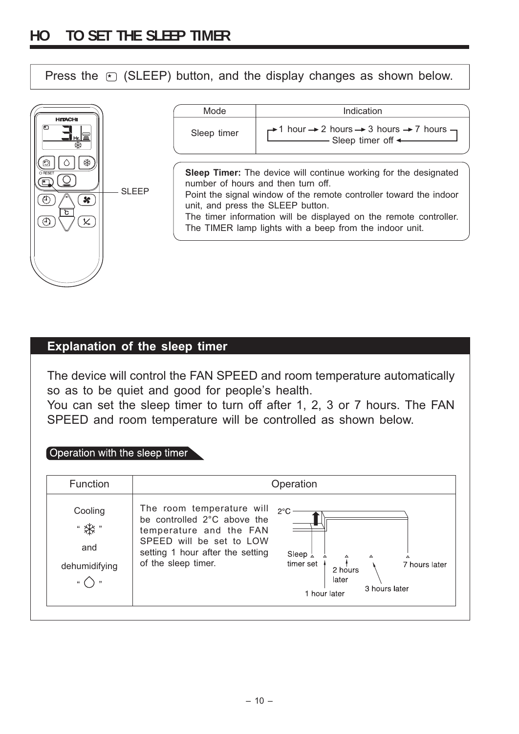Press the  $\epsilon$  (SLEEP) button, and the display changes as shown below.

|                     | Mode        | Indication                                                                                                                                                                                                                                                                                                                                              |
|---------------------|-------------|---------------------------------------------------------------------------------------------------------------------------------------------------------------------------------------------------------------------------------------------------------------------------------------------------------------------------------------------------------|
| <b>HITACHI</b><br>尖 | Sleep timer | $\rightarrow$ 1 hour $\rightarrow$ 2 hours $\rightarrow$ 3 hours $\rightarrow$ 7 hours $\rightarrow$<br>- Sleep timer off <                                                                                                                                                                                                                             |
| <b>SLEEP</b><br>ъ   |             | <b>Sleep Timer:</b> The device will continue working for the designated<br>number of hours and then turn off<br>Point the signal window of the remote controller toward the indoor<br>unit, and press the SLEEP button.<br>The timer information will be displayed on the remote controller.<br>The TIMER lamp lights with a beep from the indoor unit. |

### **Explanation of the sleep timer**

The device will control the FAN SPEED and room temperature automatically so as to be quiet and good for people's health.

You can set the sleep timer to turn off after 1, 2, 3 or 7 hours. The FAN SPEED and room temperature will be controlled as shown below.

#### Operation with the sleep timer

| <b>Function</b>                 |                                                                                                                                                                            | Operation                                                                                                                         |
|---------------------------------|----------------------------------------------------------------------------------------------------------------------------------------------------------------------------|-----------------------------------------------------------------------------------------------------------------------------------|
| Cooling<br>and<br>dehumidifying | The room temperature will<br>be controlled 2°C above the<br>temperature and the FAN<br>SPEED will be set to LOW<br>setting 1 hour after the setting<br>of the sleep timer. | $2^{\circ}$ C<br>Sleep $\frac{1}{4}$<br>△<br>△<br>timer set<br>7 hours later<br>2 hours<br>later<br>3 hours later<br>1 hour later |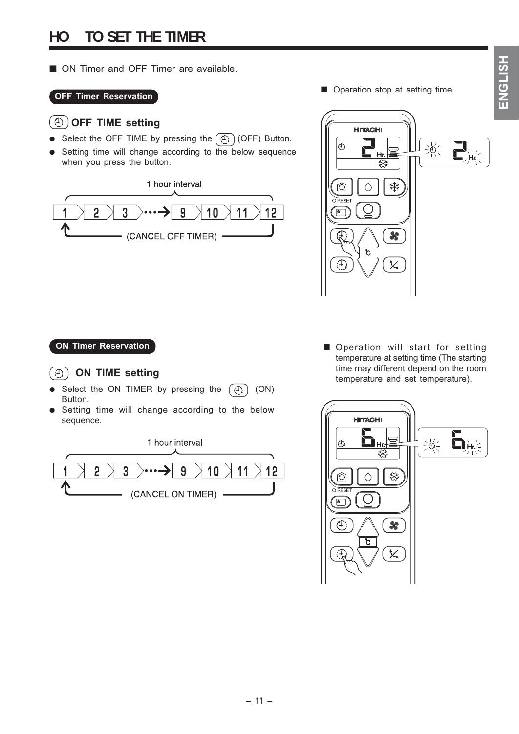■ ON Timer and OFF Timer are available.

#### **OFF Timer Reservation**

#### **OFF TIME setting**

- Select the OFF TIME by pressing the  $(\overline{A})$  (OFF) Button.
- Setting time will change according to the below sequence when you press the button.

1 hour interval



■ Operation stop at setting time



#### **ON TIME setting**

- Select the ON TIMER by pressing the  $\circledR)$  (ON) Button.
- Setting time will change according to the below sequence.

1 hour interval



**ON Timer Reservation by Conservation and Solution Conservation CON EXECUTE:** temperature at setting time (The starting time may different depend on the room temperature and set temperature).

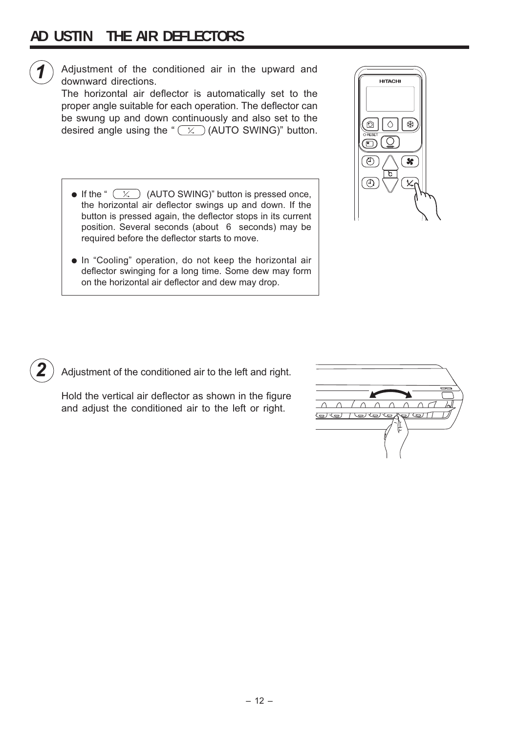## **AD USTIN THE AIR DEFLECTORS**



Adjustment of the conditioned air in the upward and downward directions.

The horizontal air deflector is automatically set to the proper angle suitable for each operation. The deflector can be swung up and down continuously and also set to the desired angle using the " $(x)$  (AUTO SWING)" button.

- If the "  $(X)$  (AUTO SWING)" button is pressed once, the horizontal air deflector swings up and down. If the button is pressed again, the deflector stops in its current position. Several seconds (about 6 seconds) may be required before the deflector starts to move.
- In "Cooling" operation, do not keep the horizontal air deflector swinging for a long time. Some dew may form on the horizontal air deflector and dew may drop.



*2* Adjustment of the conditioned air to the left and right.

Hold the vertical air deflector as shown in the figure and adjust the conditioned air to the left or right.

| $\sim$ | $\overline{}$ |
|--------|---------------|
|        |               |
|        |               |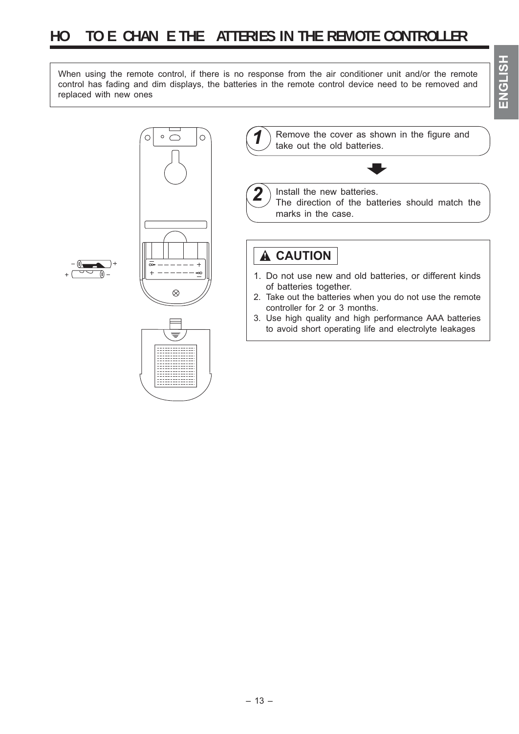When using the remote control, if there is no response from the air conditioner unit and/or the remote control has fading and dim displays, the batteries in the remote control device need to be removed and replaced with new ones





 $\circ$ 

Remove the cover as shown in the figure and take out the old batteries.  $\overline{\phantom{a}}$ 

Install the new batteries. The direction of the batteries should match the

marks in the case.

## **! CAUTION**

- 1. Do not use new and old batteries, or different kinds of batteries together.
- 2. Take out the batteries when you do not use the remote controller for 2 or 3 months.
- 3. Use high quality and high performance AAA batteries to avoid short operating life and electrolyte leakages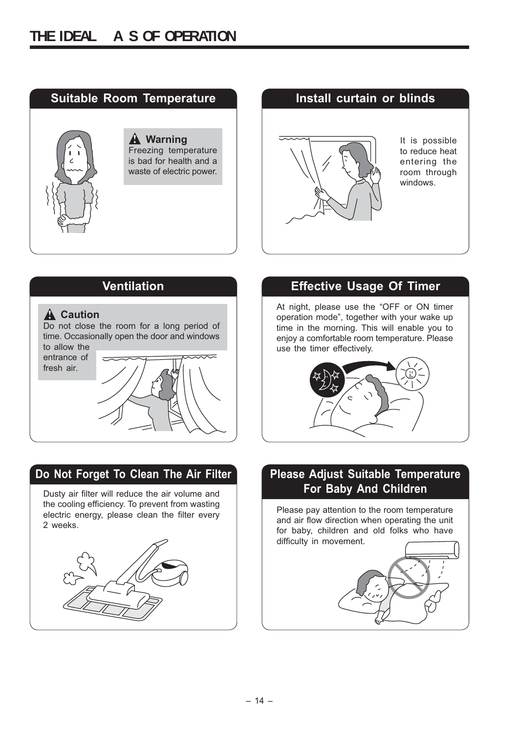

# **A** Warning **1 If is possible** to reduce heat entering the room through windows.



## **Do Not Forget To Clean The Air Filter Please Adjust Suitable Temperature**

Dusty air filter will reduce the air volume and the cooling efficiency. To prevent from wasting electric energy, please clean the filter every 2 weeks.



## **Ventilation Effective Usage Of Timer**

At night, please use the "OFF or ON timer operation mode", together with your wake up time in the morning. This will enable you to enjoy a comfortable room temperature. Please use the timer effectively.



## **For Baby And Children**

Please pay attention to the room temperature and air flow direction when operating the unit for baby, children and old folks who have difficulty in movement.

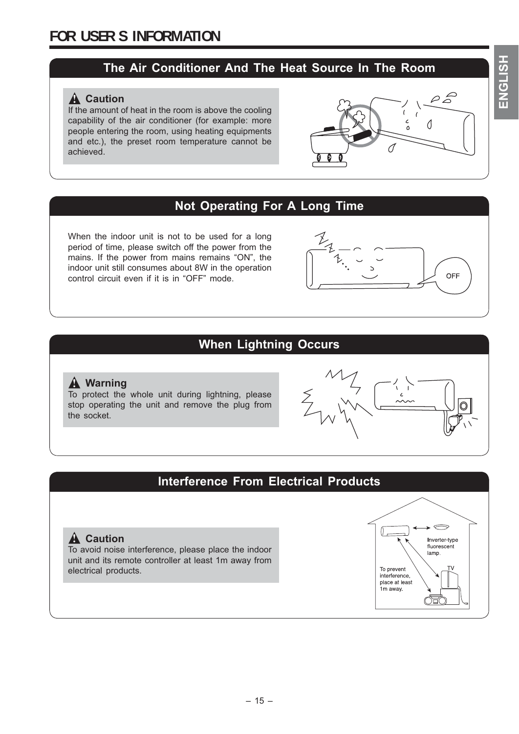## **The Air Conditioner And The Heat Source In The Room**

### $\hat{A}$  Caution

If the amount of heat in the room is above the cooling capability of the air conditioner (for example: more people entering the room, using heating equipments and etc.), the preset room temperature cannot be achieved.



## **Not Operating For A Long Time**

When the indoor unit is not to be used for a long period of time, please switch off the power from the mains. If the power from mains remains "ON", the indoor unit still consumes about 8W in the operation control circuit even if it is in "OFF" mode.



## **When Lightning Occurs**

#### **Warning !**

To protect the whole unit during lightning, please stop operating the unit and remove the plug from the socket.



## **Interference From Electrical Products**

#### $\hat{A}$  Caution

To avoid noise interference, please place the indoor unit and its remote controller at least 1m away from electrical products.

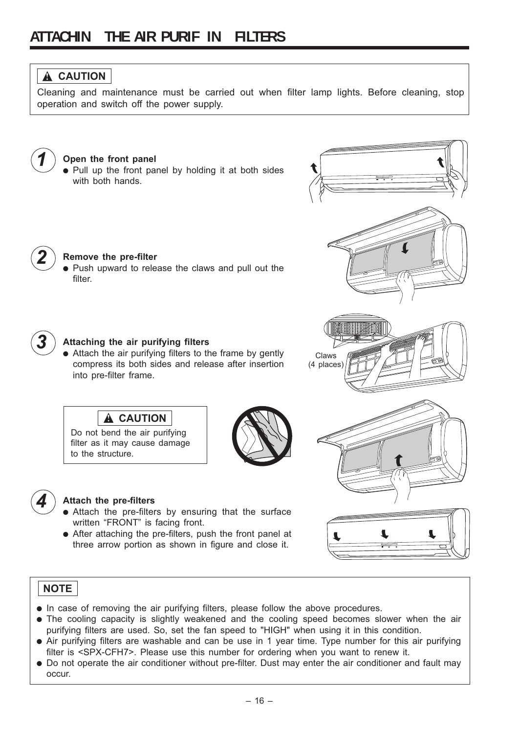## **! CAUTION**

Cleaning and maintenance must be carried out when filter lamp lights. Before cleaning, stop operation and switch off the power supply.



#### *1* **Open the front panel**

● Pull up the front panel by holding it at both sides with both hands.



#### *Remove the pre-filter*

● Push upward to release the claws and pull out the filter.



#### **Attaching the air purifying filters**

**! CAUTION**

Do not bend the air purifying filter as it may cause damage

• Attach the air purifying filters to the frame by gently compress its both sides and release after insertion into pre-filter frame.



Claws (4 places)



#### **Attach the pre-filters**

to the structure.

- Attach the pre-filters by ensuring that the surface written "FRONT" is facing front.
- After attaching the pre-filters, push the front panel at three arrow portion as shown in figure and close it.



#### **NOTE**

- In case of removing the air purifying filters, please follow the above procedures.
- The cooling capacity is slightly weakened and the cooling speed becomes slower when the air purifying filters are used. So, set the fan speed to "HIGH" when using it in this condition.
- Air purifying filters are washable and can be use in 1 year time. Type number for this air purifying filter is <SPX-CFH7>. Please use this number for ordering when you want to renew it.
- Do not operate the air conditioner without pre-filter. Dust may enter the air conditioner and fault may occur.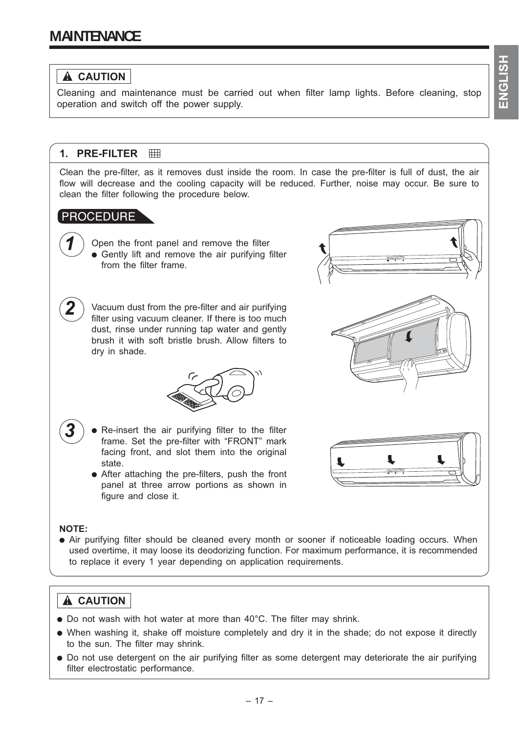### **! CAUTION**

Cleaning and maintenance must be carried out when filter lamp lights. Before cleaning, stop operation and switch off the power supply.

#### **1. PRE-FILTER**

Clean the pre-filter, as it removes dust inside the room. In case the pre-filter is full of dust, the air flow will decrease and the cooling capacity will be reduced. Further, noise may occur. Be sure to clean the filter following the procedure below.

#### PROCEDURE

Open the front panel and remove the filter • Gently lift and remove the air purifying filter from the filter frame.

Vacuum dust from the pre-filter and air purifying filter using vacuum cleaner. If there is too much dust, rinse under running tap water and gently brush it with soft bristle brush. Allow filters to dry in shade.



- **3** Re-insert the air purifying filter to the filter frame. Set the pre-filter with "FRONT" mark facing front, and slot them into the original state.
- After attaching the pre-filters, push the front panel at three arrow portions as shown in figure and close it.



#### **NOTE:**

*2*

• Air purifying filter should be cleaned every month or sooner if noticeable loading occurs. When used overtime, it may loose its deodorizing function. For maximum performance, it is recommended to replace it every 1 year depending on application requirements.

### **! CAUTION**

- Do not wash with hot water at more than 40°C. The filter may shrink.
- When washing it, shake off moisture completely and dry it in the shade; do not expose it directly to the sun. The filter may shrink.
- Do not use detergent on the air purifying filter as some detergent may deteriorate the air purifying filter electrostatic performance.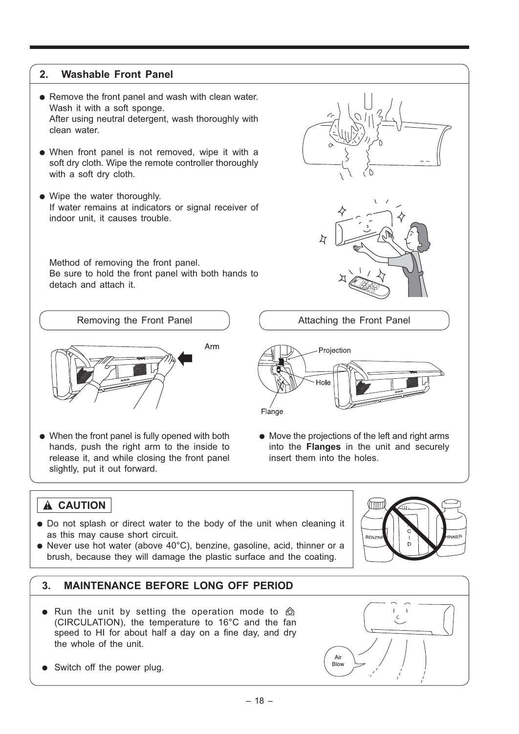#### **2. Washable Front Panel**

- Remove the front panel and wash with clean water. Wash it with a soft sponge. After using neutral detergent, wash thoroughly with clean water.
- When front panel is not removed, wipe it with a soft dry cloth. Wipe the remote controller thoroughly with a soft dry cloth.
- Wipe the water thoroughly. If water remains at indicators or signal receiver of indoor unit, it causes trouble.

 Method of removing the front panel. Be sure to hold the front panel with both hands to detach and attach it.

Removing the Front Panel



● When the front panel is fully opened with both hands, push the right arm to the inside to release it, and while closing the front panel slightly, put it out forward.

Attaching the Front Panel Projection Flange

● Move the projections of the left and right arms into the **Flanges** in the unit and securely insert them into the holes.

## **! CAUTION**

- Do not splash or direct water to the body of the unit when cleaning it as this may cause short circuit.
- Never use hot water (above 40°C), benzine, gasoline, acid, thinner or a brush, because they will damage the plastic surface and the coating.



#### **3. MAINTENANCE BEFORE LONG OFF PERIOD**

- Run the unit by setting the operation mode to  $\hat{\mathbb{O}}$ (CIRCULATION), the temperature to 16°C and the fan speed to HI for about half a day on a fine day, and dry the whole of the unit.
- Switch off the power plug.

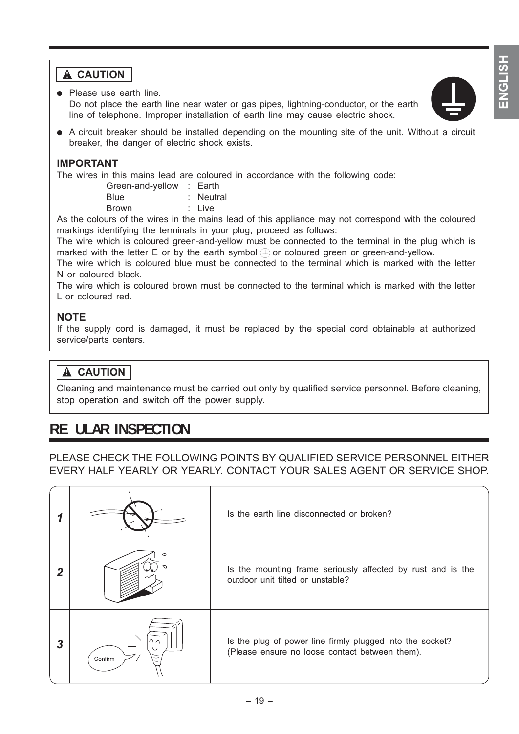## **A** CAUTION

- Please use earth line. Do not place the earth line near water or gas pipes, lightning-conductor, or the earth line of telephone. Improper installation of earth line may cause electric shock.
- A circuit breaker should be installed depending on the mounting site of the unit. Without a circuit breaker, the danger of electric shock exists.

#### **IMPORTANT**

The wires in this mains lead are coloured in accordance with the following code:

| Green-and-yellow : Earth |           |
|--------------------------|-----------|
| <b>Blue</b>              | : Neutral |
| <b>Brown</b>             | : Live    |

As the colours of the wires in the mains lead of this appliance may not correspond with the coloured markings identifying the terminals in your plug, proceed as follows:

The wire which is coloured green-and-yellow must be connected to the terminal in the plug which is marked with the letter E or by the earth symbol  $\bigoplus$  or coloured green or green-and-yellow.

The wire which is coloured blue must be connected to the terminal which is marked with the letter N or coloured black.

The wire which is coloured brown must be connected to the terminal which is marked with the letter L or coloured red.

#### **NOTE**

If the supply cord is damaged, it must be replaced by the special cord obtainable at authorized service/parts centers.

## **! CAUTION**

Cleaning and maintenance must be carried out only by qualified service personnel. Before cleaning, stop operation and switch off the power supply.

## **RE ULAR INSPECTION**

PLEASE CHECK THE FOLLOWING POINTS BY QUALIFIED SERVICE PERSONNEL EITHER EVERY HALF YEARLY OR YEARLY. CONTACT YOUR SALES AGENT OR SERVICE SHOP.

|   |         | Is the earth line disconnected or broken?                                                                   |
|---|---------|-------------------------------------------------------------------------------------------------------------|
|   |         | Is the mounting frame seriously affected by rust and is the<br>outdoor unit tilted or unstable?             |
| 3 | Confirm | Is the plug of power line firmly plugged into the socket?<br>(Please ensure no loose contact between them). |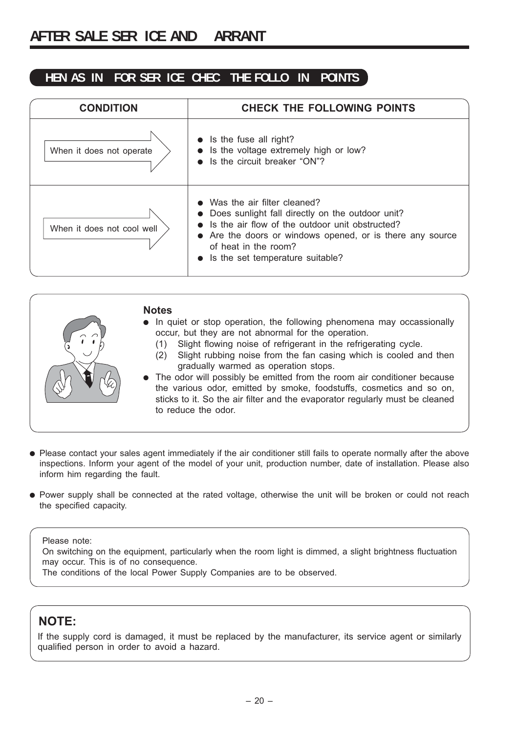#### **HEN AS IN FOR SER ICE CHEC THE FOLLO IN POINTS**

| <b>CONDITION</b>           | <b>CHECK THE FOLLOWING POINTS</b>                                                                                                                                                                                                                             |
|----------------------------|---------------------------------------------------------------------------------------------------------------------------------------------------------------------------------------------------------------------------------------------------------------|
| When it does not operate   | $\bullet$ Is the fuse all right?<br>Is the voltage extremely high or low?<br>Is the circuit breaker "ON"?                                                                                                                                                     |
| When it does not cool well | Was the air filter cleaned?<br>Does sunlight fall directly on the outdoor unit?<br>Is the air flow of the outdoor unit obstructed?<br>• Are the doors or windows opened, or is there any source<br>of heat in the room?<br>• Is the set temperature suitable? |



- Please contact your sales agent immediately if the air conditioner still fails to operate normally after the above inspections. Inform your agent of the model of your unit, production number, date of installation. Please also inform him regarding the fault.
- Power supply shall be connected at the rated voltage, otherwise the unit will be broken or could not reach the specified capacity.

#### Please note:

On switching on the equipment, particularly when the room light is dimmed, a slight brightness fluctuation may occur. This is of no consequence.

The conditions of the local Power Supply Companies are to be observed.

### **NOTE:**

If the supply cord is damaged, it must be replaced by the manufacturer, its service agent or similarly qualified person in order to avoid a hazard.